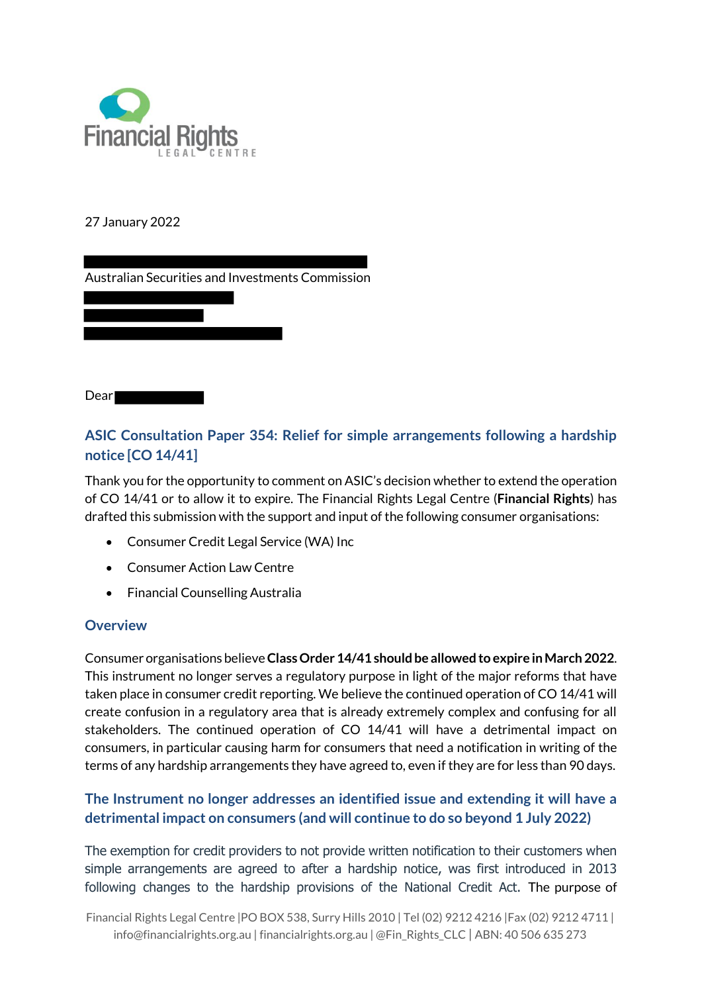

#### 27 January 2022

Australian Securities and Investments Commission

Dear<sup>1</sup>

# **ASIC Consultation Paper 354: Relief for simple arrangements following a hardship notice [CO 14/41]**

Thank you for the opportunity to comment on ASIC's decision whether to extend the operation of CO 14/41 or to allow it to expire. The Financial Rights Legal Centre (**Financial Rights**) has drafted this submission with the support and input of the following consumer organisations:

- Consumer Credit Legal Service (WA) Inc
- Consumer Action Law Centre
- Financial Counselling Australia

#### **Overview**

Consumer organisations believe **Class Order 14/41 should be allowed to expire in March 2022**. This instrument no longer serves a regulatory purpose in light of the major reforms that have taken place in consumer credit reporting. We believe the continued operation of CO 14/41 will create confusion in a regulatory area that is already extremely complex and confusing for all stakeholders. The continued operation of CO 14/41 will have a detrimental impact on consumers, in particular causing harm for consumers that need a notification in writing of the terms of any hardship arrangements they have agreed to, even if they are for less than 90 days.

### **The Instrument no longer addresses an identified issue and extending it will have a detrimental impact on consumers (and will continue to do so beyond 1 July 2022)**

The exemption for credit providers to not provide written notification to their customers when simple arrangements are agreed to after a hardship notice, was first introduced in 2013 following changes to the hardship provisions of the National Credit Act. The purpose of

Financial Rights Legal Centre |PO BOX 538, Surry Hills 2010 | Tel (02) 9212 4216 |Fax (02) 9212 4711 | info@financialrights.org.au | financialrights.org.au | @Fin\_Rights\_CLC | ABN: 40 506 635 273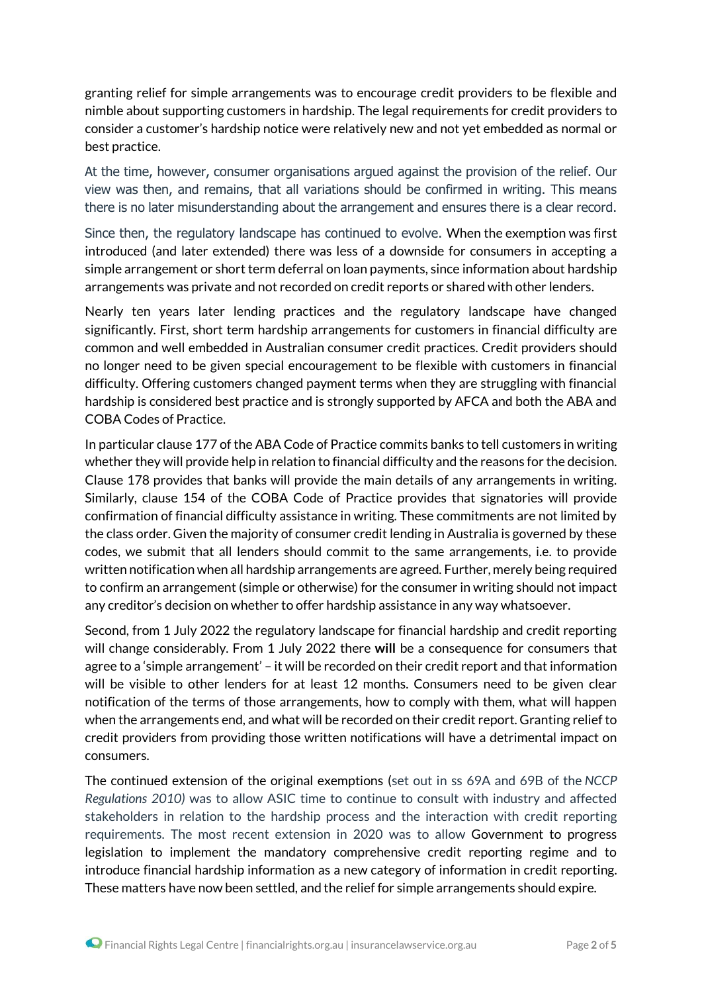granting relief for simple arrangements was to encourage credit providers to be flexible and nimble about supporting customers in hardship. The legal requirements for credit providers to consider a customer's hardship notice were relatively new and not yet embedded as normal or best practice.

At the time, however, consumer organisations argued against the provision of the relief. Our view was then, and remains, that all variations should be confirmed in writing. This means there is no later misunderstanding about the arrangement and ensures there is a clear record.

Since then, the regulatory landscape has continued to evolve. When the exemption was first introduced (and later extended) there was less of a downside for consumers in accepting a simple arrangement or short term deferral on loan payments, since information about hardship arrangements was private and not recorded on credit reports or shared with other lenders.

Nearly ten years later lending practices and the regulatory landscape have changed significantly. First, short term hardship arrangements for customers in financial difficulty are common and well embedded in Australian consumer credit practices. Credit providers should no longer need to be given special encouragement to be flexible with customers in financial difficulty. Offering customers changed payment terms when they are struggling with financial hardship is considered best practice and is strongly supported by AFCA and both the ABA and COBA Codes of Practice.

In particular clause 177 of the ABA Code of Practice commits banks to tell customers in writing whether they will provide help in relation to financial difficulty and the reasons for the decision. Clause 178 provides that banks will provide the main details of any arrangements in writing. Similarly, clause 154 of the COBA Code of Practice provides that signatories will provide confirmation of financial difficulty assistance in writing. These commitments are not limited by the class order. Given the majority of consumer credit lending in Australia is governed by these codes, we submit that all lenders should commit to the same arrangements, i.e. to provide written notification when all hardship arrangements are agreed. Further, merely being required to confirm an arrangement (simple or otherwise) for the consumer in writing should not impact any creditor's decision on whether to offer hardship assistance in any way whatsoever.

Second, from 1 July 2022 the regulatory landscape for financial hardship and credit reporting will change considerably. From 1 July 2022 there **will** be a consequence for consumers that agree to a 'simple arrangement' – it will be recorded on their credit report and that information will be visible to other lenders for at least 12 months. Consumers need to be given clear notification of the terms of those arrangements, how to comply with them, what will happen when the arrangements end, and what will be recorded on their credit report. Granting relief to credit providers from providing those written notifications will have a detrimental impact on consumers.

The continued extension of the original exemptions (set out in ss 69A and 69B of the *NCCP Regulations 2010)* was to allow ASIC time to continue to consult with industry and affected stakeholders in relation to the hardship process and the interaction with credit reporting requirements. The most recent extension in 2020 was to allow Government to progress legislation to implement the mandatory comprehensive credit reporting regime and to introduce financial hardship information as a new category of information in credit reporting. These matters have now been settled, and the relief for simple arrangements should expire.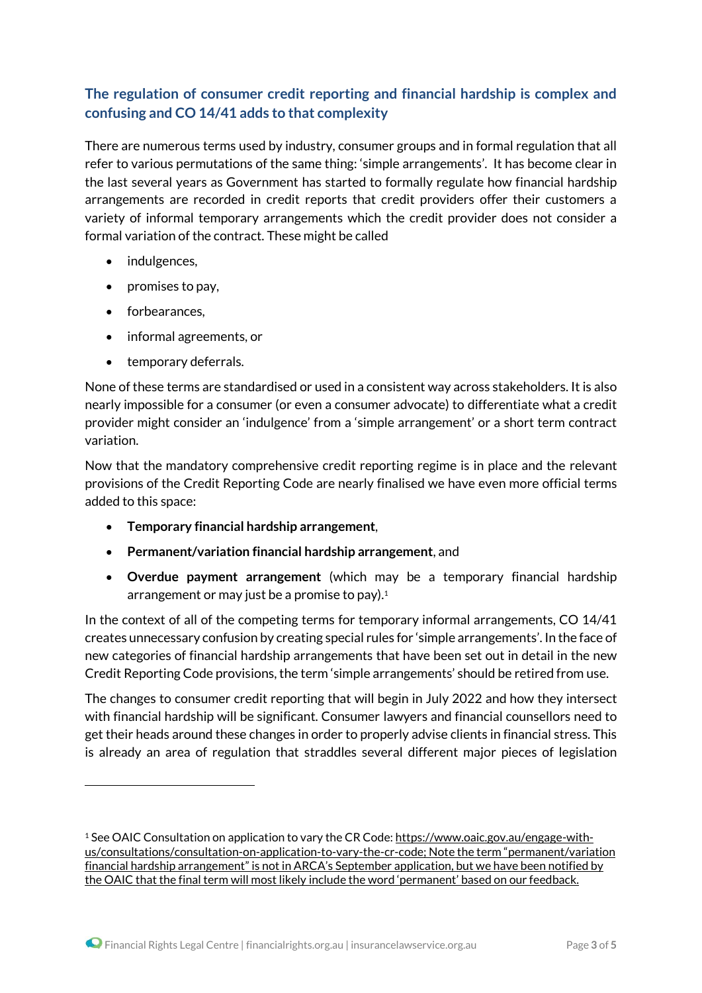# **The regulation of consumer credit reporting and financial hardship is complex and confusing and CO 14/41 adds to that complexity**

There are numerous terms used by industry, consumer groups and in formal regulation that all refer to various permutations of the same thing: 'simple arrangements'. It has become clear in the last several years as Government has started to formally regulate how financial hardship arrangements are recorded in credit reports that credit providers offer their customers a variety of informal temporary arrangements which the credit provider does not consider a formal variation of the contract. These might be called

- indulgences,
- $\bullet$  promises to pay,
- forbearances.

1

- informal agreements, or
- temporary deferrals.

None of these terms are standardised or used in a consistent way across stakeholders. It is also nearly impossible for a consumer (or even a consumer advocate) to differentiate what a credit provider might consider an 'indulgence' from a 'simple arrangement' or a short term contract variation.

Now that the mandatory comprehensive credit reporting regime is in place and the relevant provisions of the Credit Reporting Code are nearly finalised we have even more official terms added to this space:

- **Temporary financial hardship arrangement**,
- **Permanent/variation financial hardship arrangement**, and
- **Overdue payment arrangement** (which may be a temporary financial hardship arrangement or may just be a promise to pay).<sup>1</sup>

In the context of all of the competing terms for temporary informal arrangements, CO 14/41 creates unnecessary confusion by creating special rules for 'simple arrangements'. In the face of new categories of financial hardship arrangements that have been set out in detail in the new Credit Reporting Code provisions, the term 'simple arrangements' should be retired from use.

The changes to consumer credit reporting that will begin in July 2022 and how they intersect with financial hardship will be significant. Consumer lawyers and financial counsellors need to get their heads around these changes in order to properly advise clients in financial stress. This is already an area of regulation that straddles several different major pieces of legislation

<sup>&</sup>lt;sup>1</sup> See OAIC Consultation on application to vary the CR Code: https://www.oaic.gov.au/engage-withus/consultations/consultation-on-application-to-vary-the-cr-code; Note the term "permanent/variation financial hardship arrangement" is not in ARCA's September application, but we have been notified by the OAIC that the final term will most likely include the word 'permanent' based on our feedback.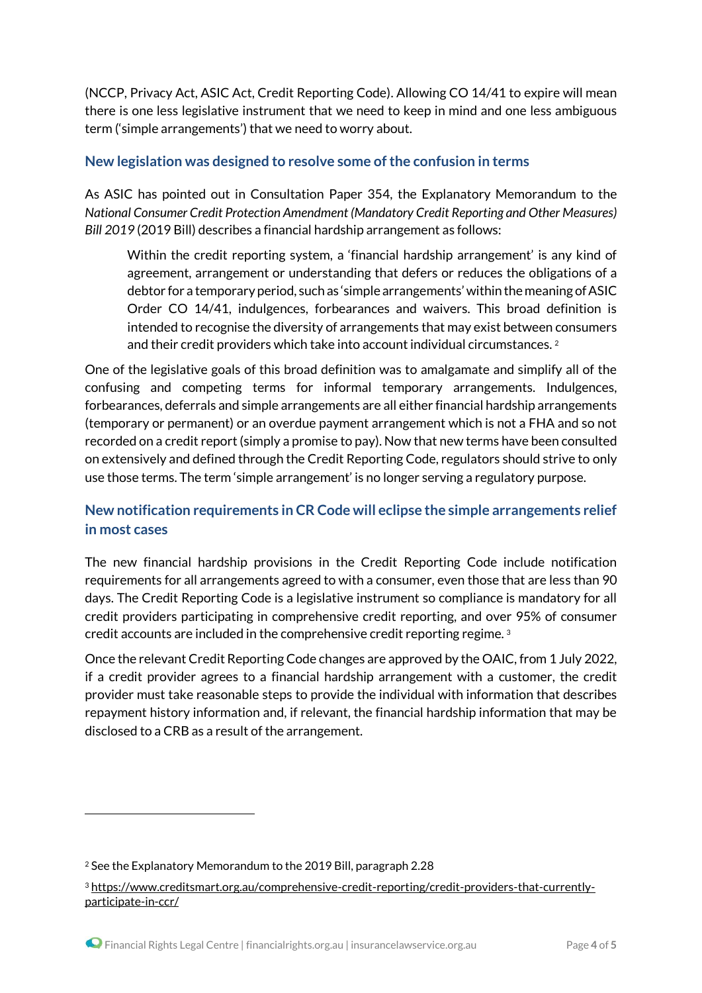(NCCP, Privacy Act, ASIC Act, Credit Reporting Code). Allowing CO 14/41 to expire will mean there is one less legislative instrument that we need to keep in mind and one less ambiguous term ('simple arrangements') that we need to worry about.

#### **New legislation was designed to resolve some of the confusion in terms**

As ASIC has pointed out in Consultation Paper 354, the Explanatory Memorandum to the *National Consumer Credit Protection Amendment (Mandatory Credit Reporting and Other Measures) Bill 2019* (2019 Bill) describes a financial hardship arrangement as follows:

Within the credit reporting system, a 'financial hardship arrangement' is any kind of agreement, arrangement or understanding that defers or reduces the obligations of a debtor for a temporary period, such as 'simple arrangements' within the meaning of ASIC Order CO 14/41, indulgences, forbearances and waivers. This broad definition is intended to recognise the diversity of arrangements that may exist between consumers and their credit providers which take into account individual circumstances. <sup>2</sup>

One of the legislative goals of this broad definition was to amalgamate and simplify all of the confusing and competing terms for informal temporary arrangements. Indulgences, forbearances, deferrals and simple arrangements are all either financial hardship arrangements (temporary or permanent) or an overdue payment arrangement which is not a FHA and so not recorded on a credit report (simply a promise to pay). Now that new terms have been consulted on extensively and defined through the Credit Reporting Code, regulators should strive to only use those terms. The term 'simple arrangement' is no longer serving a regulatory purpose.

# **New notification requirements in CR Code will eclipse the simple arrangements relief in most cases**

The new financial hardship provisions in the Credit Reporting Code include notification requirements for all arrangements agreed to with a consumer, even those that are less than 90 days. The Credit Reporting Code is a legislative instrument so compliance is mandatory for all credit providers participating in comprehensive credit reporting, and over 95% of consumer credit accounts are included in the comprehensive credit reporting regime. <sup>3</sup>

Once the relevant Credit Reporting Code changes are approved by the OAIC, from 1 July 2022, if a credit provider agrees to a financial hardship arrangement with a customer, the credit provider must take reasonable steps to provide the individual with information that describes repayment history information and, if relevant, the financial hardship information that may be disclosed to a CRB as a result of the arrangement.

1

<sup>2</sup> See the Explanatory Memorandum to the 2019 Bill, paragraph 2.28

<sup>3</sup> https://www.creditsmart.org.au/comprehensive-credit-reporting/credit-providers-that-currentlyparticipate-in-ccr/